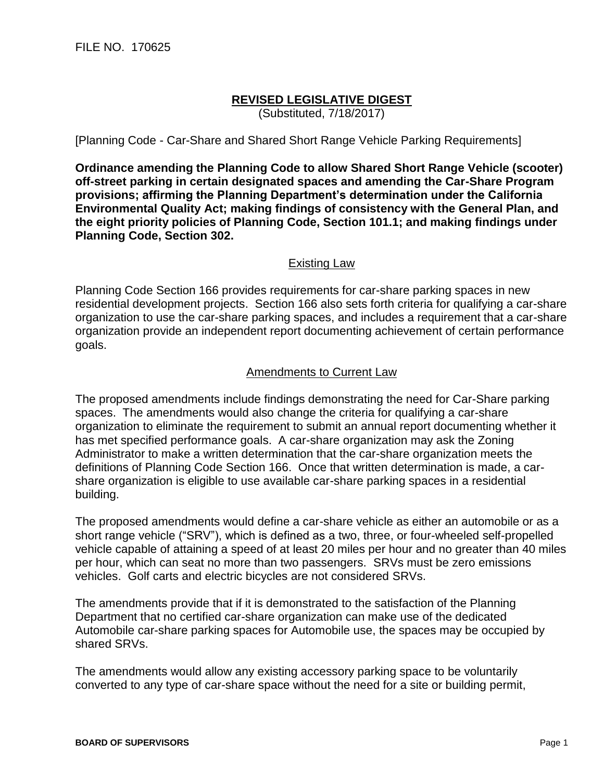## **REVISED LEGISLATIVE DIGEST**

(Substituted, 7/18/2017)

[Planning Code - Car-Share and Shared Short Range Vehicle Parking Requirements]

**Ordinance amending the Planning Code to allow Shared Short Range Vehicle (scooter) off-street parking in certain designated spaces and amending the Car-Share Program provisions; affirming the Planning Department's determination under the California Environmental Quality Act; making findings of consistency with the General Plan, and the eight priority policies of Planning Code, Section 101.1; and making findings under Planning Code, Section 302.**

## Existing Law

Planning Code Section 166 provides requirements for car-share parking spaces in new residential development projects. Section 166 also sets forth criteria for qualifying a car-share organization to use the car-share parking spaces, and includes a requirement that a car-share organization provide an independent report documenting achievement of certain performance goals.

## Amendments to Current Law

The proposed amendments include findings demonstrating the need for Car-Share parking spaces. The amendments would also change the criteria for qualifying a car-share organization to eliminate the requirement to submit an annual report documenting whether it has met specified performance goals. A car-share organization may ask the Zoning Administrator to make a written determination that the car-share organization meets the definitions of Planning Code Section 166. Once that written determination is made, a carshare organization is eligible to use available car-share parking spaces in a residential building.

The proposed amendments would define a car-share vehicle as either an automobile or as a short range vehicle ("SRV"), which is defined as a two, three, or four-wheeled self-propelled vehicle capable of attaining a speed of at least 20 miles per hour and no greater than 40 miles per hour, which can seat no more than two passengers. SRVs must be zero emissions vehicles. Golf carts and electric bicycles are not considered SRVs.

The amendments provide that if it is demonstrated to the satisfaction of the Planning Department that no certified car-share organization can make use of the dedicated Automobile car-share parking spaces for Automobile use, the spaces may be occupied by shared SRVs.

The amendments would allow any existing accessory parking space to be voluntarily converted to any type of car-share space without the need for a site or building permit,